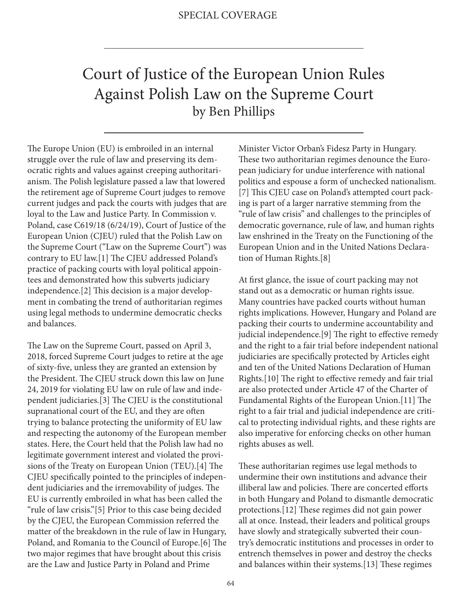## Court of Justice of the European Union Rules Against Polish Law on the Supreme Court by Ben Phillips

The Europe Union (EU) is embroiled in an internal struggle over the rule of law and preserving its democratic rights and values against creeping authoritarianism. The Polish legislature passed a law that lowered the retirement age of Supreme Court judges to remove current judges and pack the courts with judges that are loyal to the Law and Justice Party. In Commission v. Poland, case C619/18 (6/24/19), Court of Justice of the European Union (CJEU) ruled that the Polish Law on the Supreme Court ("Law on the Supreme Court") was contrary to EU law.[1] The CJEU addressed Poland's practice of packing courts with loyal political appointees and demonstrated how this subverts judiciary independence.[2] This decision is a major development in combating the trend of authoritarian regimes using legal methods to undermine democratic checks and balances.

The Law on the Supreme Court, passed on April 3, 2018, forced Supreme Court judges to retire at the age of sixty-five, unless they are granted an extension by the President. The CJEU struck down this law on June 24, 2019 for violating EU law on rule of law and independent judiciaries.[3] The CJEU is the constitutional supranational court of the EU, and they are often trying to balance protecting the uniformity of EU law and respecting the autonomy of the European member states. Here, the Court held that the Polish law had no legitimate government interest and violated the provisions of the Treaty on European Union (TEU).[4] The CJEU specifically pointed to the principles of independent judiciaries and the irremovability of judges. The EU is currently embroiled in what has been called the "rule of law crisis."[5] Prior to this case being decided by the CJEU, the European Commission referred the matter of the breakdown in the rule of law in Hungary, Poland, and Romania to the Council of Europe.[6] The two major regimes that have brought about this crisis are the Law and Justice Party in Poland and Prime

Minister Victor Orban's Fidesz Party in Hungary. These two authoritarian regimes denounce the European judiciary for undue interference with national politics and espouse a form of unchecked nationalism. [7] This CJEU case on Poland's attempted court packing is part of a larger narrative stemming from the "rule of law crisis" and challenges to the principles of democratic governance, rule of law, and human rights law enshrined in the Treaty on the Functioning of the European Union and in the United Nations Declaration of Human Rights.[8]

At first glance, the issue of court packing may not stand out as a democratic or human rights issue. Many countries have packed courts without human rights implications. However, Hungary and Poland are packing their courts to undermine accountability and judicial independence.[9] The right to effective remedy and the right to a fair trial before independent national judiciaries are specifically protected by Articles eight and ten of the United Nations Declaration of Human Rights.[10] The right to effective remedy and fair trial are also protected under Article 47 of the Charter of Fundamental Rights of the European Union.[11] The right to a fair trial and judicial independence are critical to protecting individual rights, and these rights are also imperative for enforcing checks on other human rights abuses as well.

These authoritarian regimes use legal methods to undermine their own institutions and advance their illiberal law and policies. There are concerted efforts in both Hungary and Poland to dismantle democratic protections.[12] These regimes did not gain power all at once. Instead, their leaders and political groups have slowly and strategically subverted their country's democratic institutions and processes in order to entrench themselves in power and destroy the checks and balances within their systems.[13] These regimes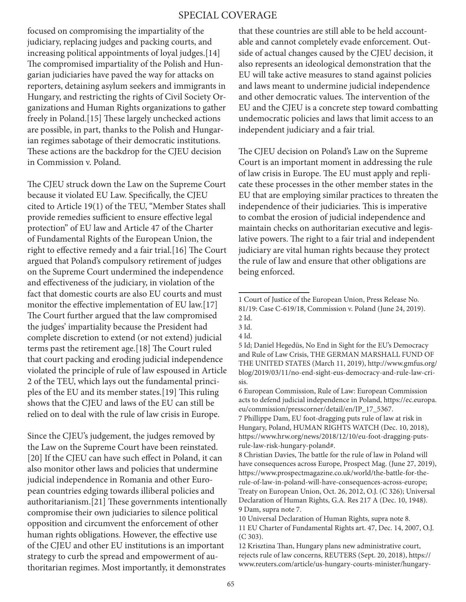## SPECIAL COVERAGE

focused on compromising the impartiality of the judiciary, replacing judges and packing courts, and increasing political appointments of loyal judges.[14] The compromised impartiality of the Polish and Hungarian judiciaries have paved the way for attacks on reporters, detaining asylum seekers and immigrants in Hungary, and restricting the rights of Civil Society Organizations and Human Rights organizations to gather freely in Poland.[15] These largely unchecked actions are possible, in part, thanks to the Polish and Hungarian regimes sabotage of their democratic institutions. These actions are the backdrop for the CJEU decision in Commission v. Poland.

The CJEU struck down the Law on the Supreme Court because it violated EU Law. Specifically, the CJEU cited to Article 19(1) of the TEU, "Member States shall provide remedies sufficient to ensure effective legal protection" of EU law and Article 47 of the Charter of Fundamental Rights of the European Union, the right to effective remedy and a fair trial.[16] The Court argued that Poland's compulsory retirement of judges on the Supreme Court undermined the independence and effectiveness of the judiciary, in violation of the fact that domestic courts are also EU courts and must monitor the effective implementation of EU law.[17] The Court further argued that the law compromised the judges' impartiality because the President had complete discretion to extend (or not extend) judicial terms past the retirement age.[18] The Court ruled that court packing and eroding judicial independence violated the principle of rule of law espoused in Article 2 of the TEU, which lays out the fundamental principles of the EU and its member states.[19] This ruling shows that the CJEU and laws of the EU can still be relied on to deal with the rule of law crisis in Europe.

Since the CJEU's judgement, the judges removed by the Law on the Supreme Court have been reinstated. [20] If the CJEU can have such effect in Poland, it can also monitor other laws and policies that undermine judicial independence in Romania and other European countries edging towards illiberal policies and authoritarianism.[21] These governments intentionally compromise their own judiciaries to silence political opposition and circumvent the enforcement of other human rights obligations. However, the effective use of the CJEU and other EU institutions is an important strategy to curb the spread and empowerment of authoritarian regimes. Most importantly, it demonstrates

that these countries are still able to be held accountable and cannot completely evade enforcement. Outside of actual changes caused by the CJEU decision, it also represents an ideological demonstration that the EU will take active measures to stand against policies and laws meant to undermine judicial independence and other democratic values. The intervention of the EU and the CJEU is a concrete step toward combatting undemocratic policies and laws that limit access to an independent judiciary and a fair trial.

The CJEU decision on Poland's Law on the Supreme Court is an important moment in addressing the rule of law crisis in Europe. The EU must apply and replicate these processes in the other member states in the EU that are employing similar practices to threaten the independence of their judiciaries. This is imperative to combat the erosion of judicial independence and maintain checks on authoritarian executive and legislative powers. The right to a fair trial and independent judiciary are vital human rights because they protect the rule of law and ensure that other obligations are being enforced.

7 Phillippe Dam, EU foot-dragging puts rule of law at risk in Hungary, Poland, HUMAN RIGHTS WATCH (Dec. 10, 2018), https://www.hrw.org/news/2018/12/10/eu-foot-dragging-putsrule-law-risk-hungary-poland#.

<sup>1</sup> Court of Justice of the European Union, Press Release No. 81/19: Case C-619/18, Commission v. Poland (June 24, 2019). 2 Id.

<sup>3</sup> Id.

<sup>4</sup> Id.

<sup>5</sup> Id; Daniel Hegedüs, No End in Sight for the EU's Democracy and Rule of Law Crisis, THE GERMAN MARSHALL FUND OF THE UNITED STATES (March 11, 2019), http://www.gmfus.org/ blog/2019/03/11/no-end-sight-eus-democracy-and-rule-law-crisis.

<sup>6</sup> European Commission, Rule of Law: European Commission acts to defend judicial independence in Poland, https://ec.europa. eu/commission/presscorner/detail/en/IP\_17\_5367.

<sup>8</sup> Christian Davies, The battle for the rule of law in Poland will have consequences across Europe, Prospect Mag. (June 27, 2019), https://www.prospectmagazine.co.uk/world/the-battle-for-therule-of-law-in-poland-will-have-consequences-across-europe; Treaty on European Union, Oct. 26, 2012, O.J. (C 326); Universal Declaration of Human Rights, G.A. Res 217 A (Dec. 10, 1948). 9 Dam, supra note 7.

<sup>10</sup> Universal Declaration of Human Rights, supra note 8. 11 EU Charter of Fundamental Rights art. 47, Dec. 14, 2007, O.J. (C 303).

<sup>12</sup> Krisztina Than, Hungary plans new administrative court, rejects rule of law concerns, REUTERS (Sept. 20, 2018), https:// www.reuters.com/article/us-hungary-courts-minister/hungary-